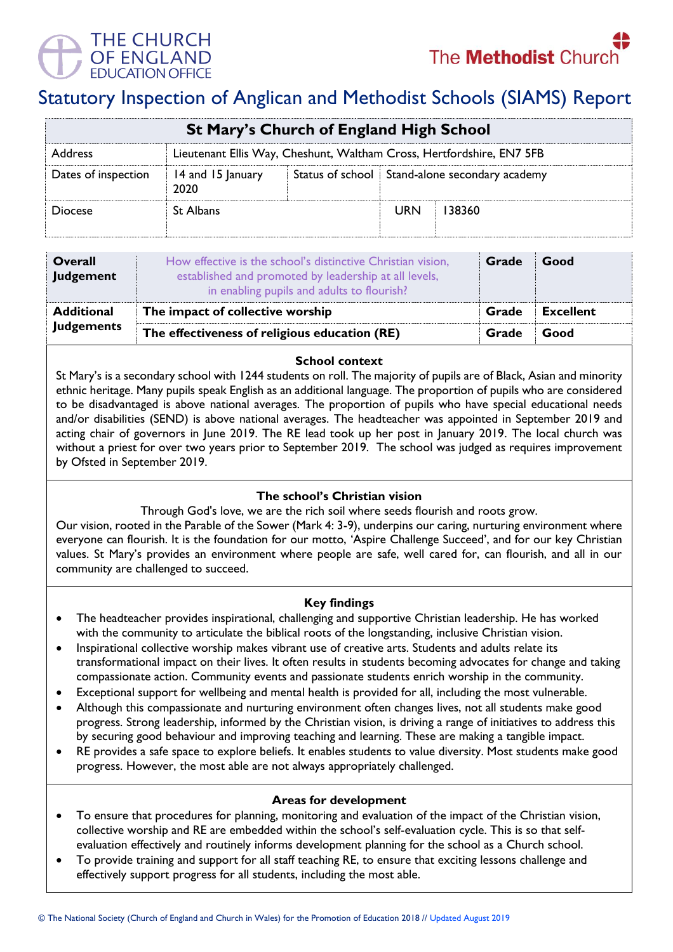



# Statutory Inspection of Anglican and Methodist Schools (SIAMS) Report

| <b>St Mary's Church of England High School</b>                                          |                           |  |                                                  |        |  |  |
|-----------------------------------------------------------------------------------------|---------------------------|--|--------------------------------------------------|--------|--|--|
| Lieutenant Ellis Way, Cheshunt, Waltham Cross, Hertfordshire, EN7 5FB<br><b>Address</b> |                           |  |                                                  |        |  |  |
| Dates of inspection                                                                     | 14 and 15 January<br>2020 |  | Status of school   Stand-alone secondary academy |        |  |  |
| <b>Diocese</b>                                                                          | <b>St Albans</b>          |  | <b>URN</b>                                       | 138360 |  |  |

| <b>Overall</b><br>Judgement | How effective is the school's distinctive Christian vision,<br>established and promoted by leadership at all levels,<br>in enabling pupils and adults to flourish? | Grade | Good             |
|-----------------------------|--------------------------------------------------------------------------------------------------------------------------------------------------------------------|-------|------------------|
| <b>Additional</b>           | The impact of collective worship                                                                                                                                   | Grade | <b>Excellent</b> |
| <b>Judgements</b>           | The effectiveness of religious education (RE)                                                                                                                      |       | Good             |

# **School context**

St Mary's is a secondary school with 1244 students on roll. The majority of pupils are of Black, Asian and minority ethnic heritage. Many pupils speak English as an additional language. The proportion of pupils who are considered to be disadvantaged is above national averages. The proportion of pupils who have special educational needs and/or disabilities (SEND) is above national averages. The headteacher was appointed in September 2019 and acting chair of governors in June 2019. The RE lead took up her post in January 2019. The local church was without a priest for over two years prior to September 2019. The school was judged as requires improvement by Ofsted in September 2019.

# **The school's Christian vision**

Through God's love, we are the rich soil where seeds flourish and roots grow.

Our vision, rooted in the Parable of the Sower (Mark 4: 3-9), underpins our caring, nurturing environment where everyone can flourish. It is the foundation for our motto, 'Aspire Challenge Succeed', and for our key Christian values. St Mary's provides an environment where people are safe, well cared for, can flourish, and all in our community are challenged to succeed.

# **Key findings**

- The headteacher provides inspirational, challenging and supportive Christian leadership. He has worked with the community to articulate the biblical roots of the longstanding, inclusive Christian vision.
- Inspirational collective worship makes vibrant use of creative arts. Students and adults relate its transformational impact on their lives. It often results in students becoming advocates for change and taking compassionate action. Community events and passionate students enrich worship in the community.
- Exceptional support for wellbeing and mental health is provided for all, including the most vulnerable.
- Although this compassionate and nurturing environment often changes lives, not all students make good progress. Strong leadership, informed by the Christian vision, is driving a range of initiatives to address this by securing good behaviour and improving teaching and learning. These are making a tangible impact.
- RE provides a safe space to explore beliefs. It enables students to value diversity. Most students make good progress. However, the most able are not always appropriately challenged.

#### **Areas for development**

- To ensure that procedures for planning, monitoring and evaluation of the impact of the Christian vision, collective worship and RE are embedded within the school's self-evaluation cycle. This is so that selfevaluation effectively and routinely informs development planning for the school as a Church school.
- To provide training and support for all staff teaching RE, to ensure that exciting lessons challenge and effectively support progress for all students, including the most able.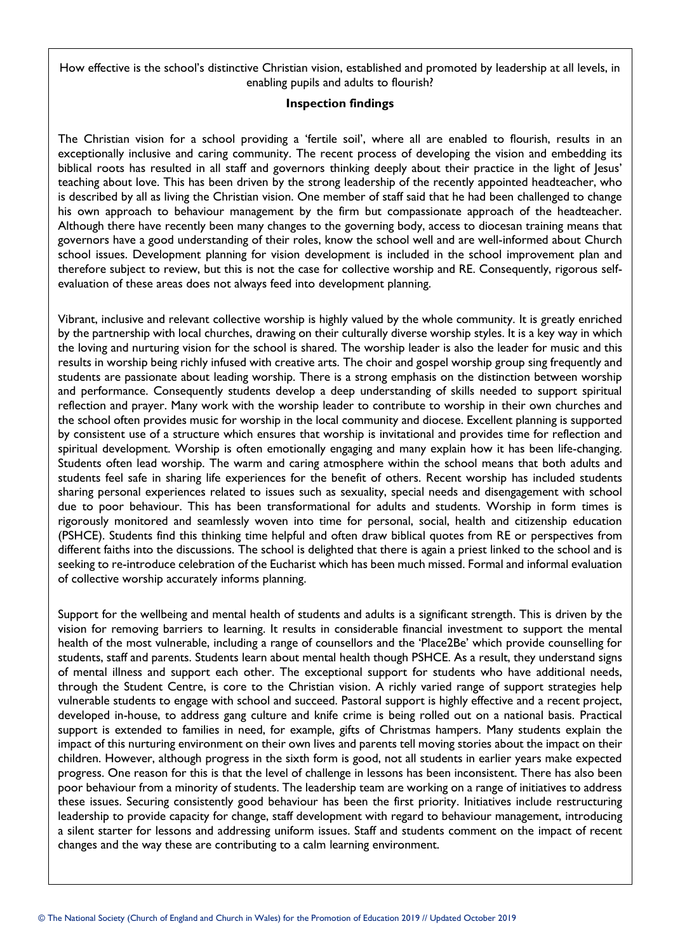How effective is the school's distinctive Christian vision, established and promoted by leadership at all levels, in enabling pupils and adults to flourish?

#### **Inspection findings**

The Christian vision for a school providing a 'fertile soil', where all are enabled to flourish, results in an exceptionally inclusive and caring community. The recent process of developing the vision and embedding its biblical roots has resulted in all staff and governors thinking deeply about their practice in the light of Jesus' teaching about love. This has been driven by the strong leadership of the recently appointed headteacher, who is described by all as living the Christian vision. One member of staff said that he had been challenged to change his own approach to behaviour management by the firm but compassionate approach of the headteacher. Although there have recently been many changes to the governing body, access to diocesan training means that governors have a good understanding of their roles, know the school well and are well-informed about Church school issues. Development planning for vision development is included in the school improvement plan and therefore subject to review, but this is not the case for collective worship and RE. Consequently, rigorous selfevaluation of these areas does not always feed into development planning.

Vibrant, inclusive and relevant collective worship is highly valued by the whole community. It is greatly enriched by the partnership with local churches, drawing on their culturally diverse worship styles. It is a key way in which the loving and nurturing vision for the school is shared. The worship leader is also the leader for music and this results in worship being richly infused with creative arts. The choir and gospel worship group sing frequently and students are passionate about leading worship. There is a strong emphasis on the distinction between worship and performance. Consequently students develop a deep understanding of skills needed to support spiritual reflection and prayer. Many work with the worship leader to contribute to worship in their own churches and the school often provides music for worship in the local community and diocese. Excellent planning is supported by consistent use of a structure which ensures that worship is invitational and provides time for reflection and spiritual development. Worship is often emotionally engaging and many explain how it has been life-changing. Students often lead worship. The warm and caring atmosphere within the school means that both adults and students feel safe in sharing life experiences for the benefit of others. Recent worship has included students sharing personal experiences related to issues such as sexuality, special needs and disengagement with school due to poor behaviour. This has been transformational for adults and students. Worship in form times is rigorously monitored and seamlessly woven into time for personal, social, health and citizenship education (PSHCE). Students find this thinking time helpful and often draw biblical quotes from RE or perspectives from different faiths into the discussions. The school is delighted that there is again a priest linked to the school and is seeking to re-introduce celebration of the Eucharist which has been much missed. Formal and informal evaluation of collective worship accurately informs planning.

Support for the wellbeing and mental health of students and adults is a significant strength. This is driven by the vision for removing barriers to learning. It results in considerable financial investment to support the mental health of the most vulnerable, including a range of counsellors and the 'Place2Be' which provide counselling for students, staff and parents. Students learn about mental health though PSHCE. As a result, they understand signs of mental illness and support each other. The exceptional support for students who have additional needs, through the Student Centre, is core to the Christian vision. A richly varied range of support strategies help vulnerable students to engage with school and succeed. Pastoral support is highly effective and a recent project, developed in-house, to address gang culture and knife crime is being rolled out on a national basis. Practical support is extended to families in need, for example, gifts of Christmas hampers. Many students explain the impact of this nurturing environment on their own lives and parents tell moving stories about the impact on their children. However, although progress in the sixth form is good, not all students in earlier years make expected progress. One reason for this is that the level of challenge in lessons has been inconsistent. There has also been poor behaviour from a minority of students. The leadership team are working on a range of initiatives to address these issues. Securing consistently good behaviour has been the first priority. Initiatives include restructuring leadership to provide capacity for change, staff development with regard to behaviour management, introducing a silent starter for lessons and addressing uniform issues. Staff and students comment on the impact of recent changes and the way these are contributing to a calm learning environment.